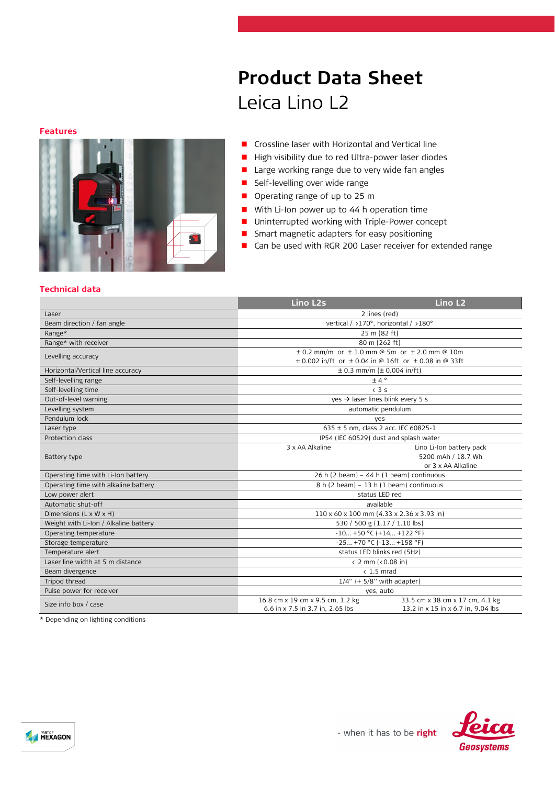# **Product Data Sheet** Leica Lino L2

#### **Features**



- **Crossline laser with Horizontal and Vertical line**
- High visibility due to red Ultra-power laser diodes
- **Large working range due to very wide fan angles**
- **Self-levelling over wide range**
- Operating range of up to 25 m
- With Li-Ion power up to 44 h operation time
- Uninterrupted working with Triple-Power concept
- **Smart magnetic adapters for easy positioning**
- Can be used with RGR 200 Laser receiver for extended range

### **Technical data**

|                                       | <b>Lino L2s</b>                                                                                                                | Lino L <sub>2</sub>                                                   |
|---------------------------------------|--------------------------------------------------------------------------------------------------------------------------------|-----------------------------------------------------------------------|
| Laser                                 | 2 lines (red)                                                                                                                  |                                                                       |
| Beam direction / fan angle            | vertical / >170°, horizontal / >180°                                                                                           |                                                                       |
| Range*                                | 25 m (82 ft)                                                                                                                   |                                                                       |
| Range* with receiver                  | 80 m (262 ft)                                                                                                                  |                                                                       |
| Levelling accuracy                    | $\pm$ 0.2 mm/m or $\pm$ 1.0 mm @ 5m or $\pm$ 2.0 mm @ 10m<br>$\pm$ 0.002 in/ft or $\pm$ 0.04 in @ 16ft or $\pm$ 0.08 in @ 33ft |                                                                       |
| Horizontal/Vertical line accuracy     | $\pm$ 0.3 mm/m ( $\pm$ 0.004 in/ft)                                                                                            |                                                                       |
| Self-levelling range                  | ±4°                                                                                                                            |                                                                       |
| Self-levelling time                   | $\langle$ 3 s                                                                                                                  |                                                                       |
| Out-of-level warning                  | yes $\rightarrow$ laser lines blink every 5 s                                                                                  |                                                                       |
| Levelling system                      | automatic pendulum                                                                                                             |                                                                       |
| Pendulum lock                         | yes                                                                                                                            |                                                                       |
| Laser type                            | 635 ± 5 nm, class 2 acc. IEC 60825-1                                                                                           |                                                                       |
| Protection class                      | IP54 (IEC 60529) dust and splash water                                                                                         |                                                                       |
| Battery type                          | 3 x AA Alkaline                                                                                                                | Lino Li-Ion battery pack<br>5200 mAh / 18.7 Wh<br>or 3 x AA Alkaline  |
| Operating time with Li-Ion battery    | 26 h (2 beam) - 44 h (1 beam) continuous                                                                                       |                                                                       |
| Operating time with alkaline battery  | 8 h (2 beam) - 13 h (1 beam) continuous                                                                                        |                                                                       |
| Low power alert                       | status LED red                                                                                                                 |                                                                       |
| Automatic shut-off                    | available                                                                                                                      |                                                                       |
| Dimensions (L x W x H)                | 110 x 60 x 100 mm (4.33 x 2.36 x 3.93 in)                                                                                      |                                                                       |
| Weight with Li-Ion / Alkaline battery | 530 / 500 g (1.17 / 1.10 lbs)                                                                                                  |                                                                       |
| Operating temperature                 | $-10+50$ °C (+14 +122 °F)                                                                                                      |                                                                       |
| Storage temperature                   | $-25 +70$ °C ( $-13 +158$ °F)                                                                                                  |                                                                       |
| Temperature alert                     | status LED blinks red (5Hz)                                                                                                    |                                                                       |
| Laser line width at 5 m distance      | $\langle$ 2 mm ( $\langle$ 0.08 in)                                                                                            |                                                                       |
| Beam divergence                       | $< 1.5$ mrad                                                                                                                   |                                                                       |
| Tripod thread                         | $1/4$ " (+ 5/8" with adapter)                                                                                                  |                                                                       |
| Pulse power for receiver              | yes, auto                                                                                                                      |                                                                       |
| Size info box / case                  | 16.8 cm x 19 cm x 9.5 cm, 1.2 kg<br>6.6 in x 7.5 in 3.7 in, 2.65 lbs                                                           | 33.5 cm x 38 cm x 17 cm, 4.1 kg<br>13.2 in x 15 in x 6.7 in, 9.04 lbs |

\* Depending on lighting conditions

**A HEXAGON**